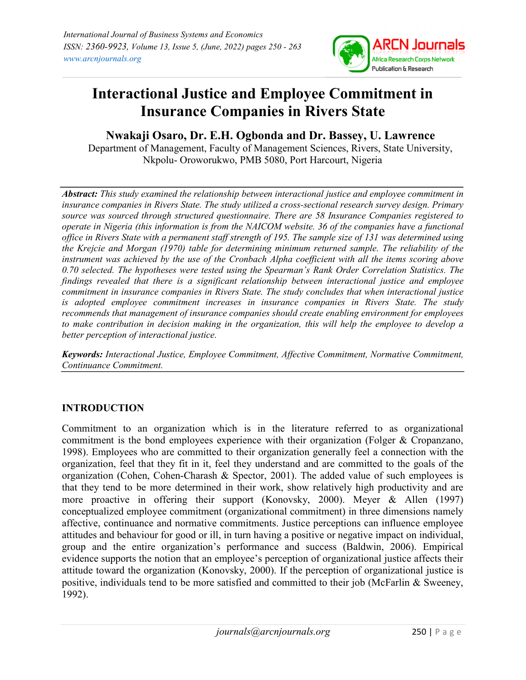

# Interactional Justice and Employee Commitment in Insurance Companies in Rivers State

Nwakaji Osaro, Dr. E.H. Ogbonda and Dr. Bassey, U. Lawrence

Department of Management, Faculty of Management Sciences, Rivers, State University, Nkpolu- Oroworukwo, PMB 5080, Port Harcourt, Nigeria

Abstract: This study examined the relationship between interactional justice and employee commitment in insurance companies in Rivers State. The study utilized a cross-sectional research survey design. Primary source was sourced through structured questionnaire. There are 58 Insurance Companies registered to operate in Nigeria (this information is from the NAICOM website. 36 of the companies have a functional office in Rivers State with a permanent staff strength of 195. The sample size of 131 was determined using the Krejcie and Morgan (1970) table for determining minimum returned sample. The reliability of the instrument was achieved by the use of the Cronbach Alpha coefficient with all the items scoring above 0.70 selected. The hypotheses were tested using the Spearman's Rank Order Correlation Statistics. The findings revealed that there is a significant relationship between interactional justice and employee commitment in insurance companies in Rivers State. The study concludes that when interactional justice is adopted employee commitment increases in insurance companies in Rivers State. The study recommends that management of insurance companies should create enabling environment for employees to make contribution in decision making in the organization, this will help the employee to develop a better perception of interactional justice.

Keywords: Interactional Justice, Employee Commitment, Affective Commitment, Normative Commitment, Continuance Commitment.

# INTRODUCTION

Commitment to an organization which is in the literature referred to as organizational commitment is the bond employees experience with their organization (Folger & Cropanzano, 1998). Employees who are committed to their organization generally feel a connection with the organization, feel that they fit in it, feel they understand and are committed to the goals of the organization (Cohen, Cohen-Charash & Spector, 2001). The added value of such employees is that they tend to be more determined in their work, show relatively high productivity and are more proactive in offering their support (Konovsky, 2000). Meyer & Allen (1997) conceptualized employee commitment (organizational commitment) in three dimensions namely affective, continuance and normative commitments. Justice perceptions can influence employee attitudes and behaviour for good or ill, in turn having a positive or negative impact on individual, group and the entire organization's performance and success (Baldwin, 2006). Empirical evidence supports the notion that an employee's perception of organizational justice affects their attitude toward the organization (Konovsky, 2000). If the perception of organizational justice is positive, individuals tend to be more satisfied and committed to their job (McFarlin & Sweeney, 1992).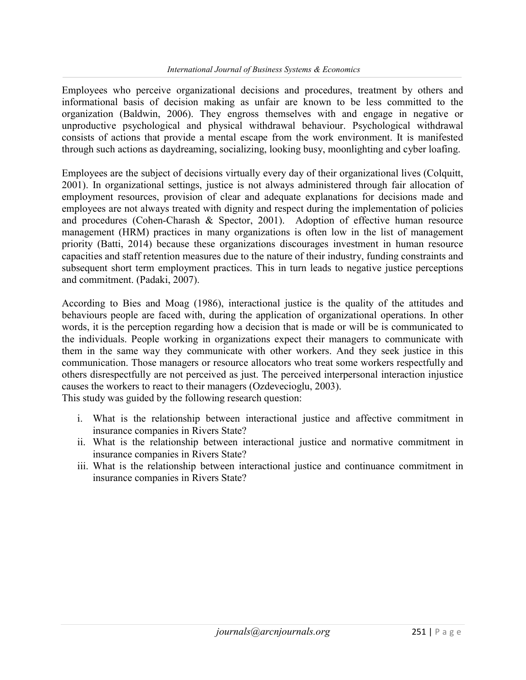Employees who perceive organizational decisions and procedures, treatment by others and informational basis of decision making as unfair are known to be less committed to the organization (Baldwin, 2006). They engross themselves with and engage in negative or unproductive psychological and physical withdrawal behaviour. Psychological withdrawal consists of actions that provide a mental escape from the work environment. It is manifested through such actions as daydreaming, socializing, looking busy, moonlighting and cyber loafing.

Employees are the subject of decisions virtually every day of their organizational lives (Colquitt, 2001). In organizational settings, justice is not always administered through fair allocation of employment resources, provision of clear and adequate explanations for decisions made and employees are not always treated with dignity and respect during the implementation of policies and procedures (Cohen-Charash & Spector, 2001). Adoption of effective human resource management (HRM) practices in many organizations is often low in the list of management priority (Batti, 2014) because these organizations discourages investment in human resource capacities and staff retention measures due to the nature of their industry, funding constraints and subsequent short term employment practices. This in turn leads to negative justice perceptions and commitment. (Padaki, 2007).

According to Bies and Moag (1986), interactional justice is the quality of the attitudes and behaviours people are faced with, during the application of organizational operations. In other words, it is the perception regarding how a decision that is made or will be is communicated to the individuals. People working in organizations expect their managers to communicate with them in the same way they communicate with other workers. And they seek justice in this communication. Those managers or resource allocators who treat some workers respectfully and others disrespectfully are not perceived as just. The perceived interpersonal interaction injustice causes the workers to react to their managers (Ozdevecioglu, 2003).

This study was guided by the following research question:

- i. What is the relationship between interactional justice and affective commitment in insurance companies in Rivers State?
- ii. What is the relationship between interactional justice and normative commitment in insurance companies in Rivers State?
- iii. What is the relationship between interactional justice and continuance commitment in insurance companies in Rivers State?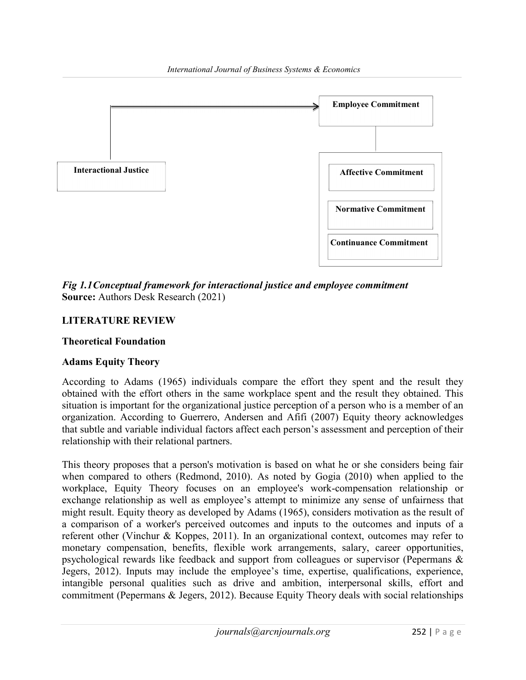

Fig 1.1 Conceptual framework for interactional justice and employee commitment Source: Authors Desk Research (2021)

# LITERATURE REVIEW

## Theoretical Foundation

# Adams Equity Theory

According to Adams (1965) individuals compare the effort they spent and the result they obtained with the effort others in the same workplace spent and the result they obtained. This situation is important for the organizational justice perception of a person who is a member of an organization. According to Guerrero, Andersen and Afifi (2007) Equity theory acknowledges that subtle and variable individual factors affect each person's assessment and perception of their relationship with their relational partners.

This theory proposes that a person's motivation is based on what he or she considers being fair when compared to others (Redmond, 2010). As noted by Gogia (2010) when applied to the workplace, Equity Theory focuses on an employee's work-compensation relationship or exchange relationship as well as employee's attempt to minimize any sense of unfairness that might result. Equity theory as developed by Adams (1965), considers motivation as the result of a comparison of a worker's perceived outcomes and inputs to the outcomes and inputs of a referent other (Vinchur & Koppes, 2011). In an organizational context, outcomes may refer to monetary compensation, benefits, flexible work arrangements, salary, career opportunities, psychological rewards like feedback and support from colleagues or supervisor (Pepermans & Jegers, 2012). Inputs may include the employee's time, expertise, qualifications, experience, intangible personal qualities such as drive and ambition, interpersonal skills, effort and commitment (Pepermans & Jegers, 2012). Because Equity Theory deals with social relationships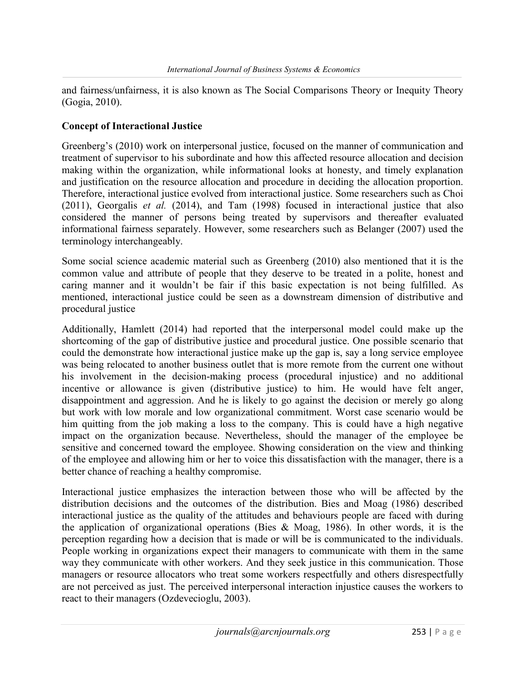and fairness/unfairness, it is also known as The Social Comparisons Theory or Inequity Theory (Gogia, 2010).

## Concept of Interactional Justice

Greenberg's (2010) work on interpersonal justice, focused on the manner of communication and treatment of supervisor to his subordinate and how this affected resource allocation and decision making within the organization, while informational looks at honesty, and timely explanation and justification on the resource allocation and procedure in deciding the allocation proportion. Therefore, interactional justice evolved from interactional justice. Some researchers such as Choi (2011), Georgalis et al. (2014), and Tam (1998) focused in interactional justice that also considered the manner of persons being treated by supervisors and thereafter evaluated informational fairness separately. However, some researchers such as Belanger (2007) used the terminology interchangeably.

Some social science academic material such as Greenberg (2010) also mentioned that it is the common value and attribute of people that they deserve to be treated in a polite, honest and caring manner and it wouldn't be fair if this basic expectation is not being fulfilled. As mentioned, interactional justice could be seen as a downstream dimension of distributive and procedural justice

Additionally, Hamlett (2014) had reported that the interpersonal model could make up the shortcoming of the gap of distributive justice and procedural justice. One possible scenario that could the demonstrate how interactional justice make up the gap is, say a long service employee was being relocated to another business outlet that is more remote from the current one without his involvement in the decision-making process (procedural injustice) and no additional incentive or allowance is given (distributive justice) to him. He would have felt anger, disappointment and aggression. And he is likely to go against the decision or merely go along but work with low morale and low organizational commitment. Worst case scenario would be him quitting from the job making a loss to the company. This is could have a high negative impact on the organization because. Nevertheless, should the manager of the employee be sensitive and concerned toward the employee. Showing consideration on the view and thinking of the employee and allowing him or her to voice this dissatisfaction with the manager, there is a better chance of reaching a healthy compromise.

Interactional justice emphasizes the interaction between those who will be affected by the distribution decisions and the outcomes of the distribution. Bies and Moag (1986) described interactional justice as the quality of the attitudes and behaviours people are faced with during the application of organizational operations (Bies & Moag, 1986). In other words, it is the perception regarding how a decision that is made or will be is communicated to the individuals. People working in organizations expect their managers to communicate with them in the same way they communicate with other workers. And they seek justice in this communication. Those managers or resource allocators who treat some workers respectfully and others disrespectfully are not perceived as just. The perceived interpersonal interaction injustice causes the workers to react to their managers (Ozdevecioglu, 2003).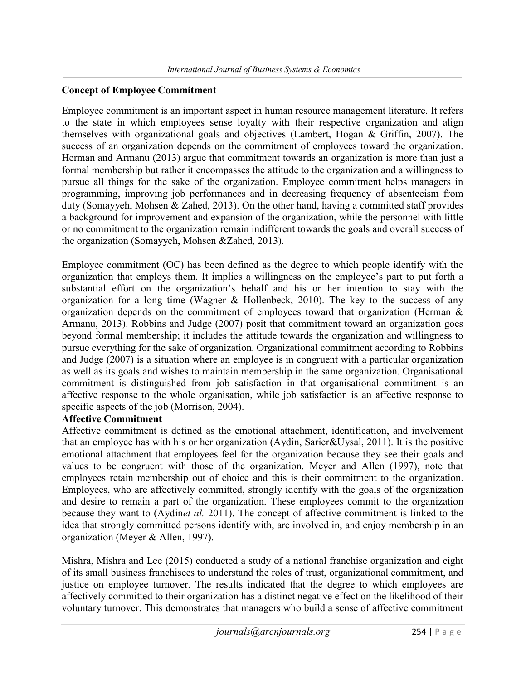### Concept of Employee Commitment

Employee commitment is an important aspect in human resource management literature. It refers to the state in which employees sense loyalty with their respective organization and align themselves with organizational goals and objectives (Lambert, Hogan & Griffin, 2007). The success of an organization depends on the commitment of employees toward the organization. Herman and Armanu (2013) argue that commitment towards an organization is more than just a formal membership but rather it encompasses the attitude to the organization and a willingness to pursue all things for the sake of the organization. Employee commitment helps managers in programming, improving job performances and in decreasing frequency of absenteeism from duty (Somayyeh, Mohsen & Zahed, 2013). On the other hand, having a committed staff provides a background for improvement and expansion of the organization, while the personnel with little or no commitment to the organization remain indifferent towards the goals and overall success of the organization (Somayyeh, Mohsen &Zahed, 2013).

Employee commitment (OC) has been defined as the degree to which people identify with the organization that employs them. It implies a willingness on the employee's part to put forth a substantial effort on the organization's behalf and his or her intention to stay with the organization for a long time (Wagner & Hollenbeck, 2010). The key to the success of any organization depends on the commitment of employees toward that organization (Herman & Armanu, 2013). Robbins and Judge (2007) posit that commitment toward an organization goes beyond formal membership; it includes the attitude towards the organization and willingness to pursue everything for the sake of organization. Organizational commitment according to Robbins and Judge (2007) is a situation where an employee is in congruent with a particular organization as well as its goals and wishes to maintain membership in the same organization. Organisational commitment is distinguished from job satisfaction in that organisational commitment is an affective response to the whole organisation, while job satisfaction is an affective response to specific aspects of the job (Morrison, 2004).

#### Affective Commitment

Affective commitment is defined as the emotional attachment, identification, and involvement that an employee has with his or her organization (Aydin, Sarier&Uysal, 2011). It is the positive emotional attachment that employees feel for the organization because they see their goals and values to be congruent with those of the organization. Meyer and Allen (1997), note that employees retain membership out of choice and this is their commitment to the organization. Employees, who are affectively committed, strongly identify with the goals of the organization and desire to remain a part of the organization. These employees commit to the organization because they want to (Aydinet al. 2011). The concept of affective commitment is linked to the idea that strongly committed persons identify with, are involved in, and enjoy membership in an organization (Meyer & Allen, 1997).

Mishra, Mishra and Lee (2015) conducted a study of a national franchise organization and eight of its small business franchisees to understand the roles of trust, organizational commitment, and justice on employee turnover. The results indicated that the degree to which employees are affectively committed to their organization has a distinct negative effect on the likelihood of their voluntary turnover. This demonstrates that managers who build a sense of affective commitment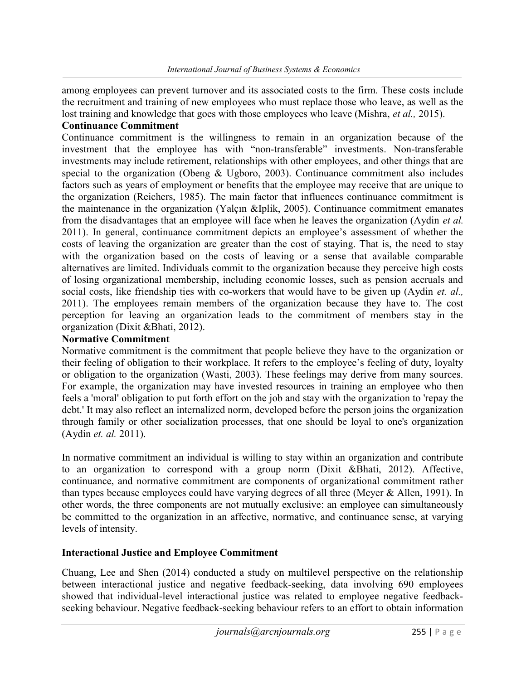among employees can prevent turnover and its associated costs to the firm. These costs include the recruitment and training of new employees who must replace those who leave, as well as the lost training and knowledge that goes with those employees who leave (Mishra, *et al.*, 2015).

#### Continuance Commitment

Continuance commitment is the willingness to remain in an organization because of the investment that the employee has with "non-transferable" investments. Non-transferable investments may include retirement, relationships with other employees, and other things that are special to the organization (Obeng & Ugboro, 2003). Continuance commitment also includes factors such as years of employment or benefits that the employee may receive that are unique to the organization (Reichers, 1985). The main factor that influences continuance commitment is the maintenance in the organization (Yalçın &Iplik, 2005). Continuance commitment emanates from the disadvantages that an employee will face when he leaves the organization (Aydin et al. 2011). In general, continuance commitment depicts an employee's assessment of whether the costs of leaving the organization are greater than the cost of staying. That is, the need to stay with the organization based on the costs of leaving or a sense that available comparable alternatives are limited. Individuals commit to the organization because they perceive high costs of losing organizational membership, including economic losses, such as pension accruals and social costs, like friendship ties with co-workers that would have to be given up (Aydin *et. al.*, 2011). The employees remain members of the organization because they have to. The cost perception for leaving an organization leads to the commitment of members stay in the organization (Dixit &Bhati, 2012).

## Normative Commitment

Normative commitment is the commitment that people believe they have to the organization or their feeling of obligation to their workplace. It refers to the employee's feeling of duty, loyalty or obligation to the organization (Wasti, 2003). These feelings may derive from many sources. For example, the organization may have invested resources in training an employee who then feels a 'moral' obligation to put forth effort on the job and stay with the organization to 'repay the debt.' It may also reflect an internalized norm, developed before the person joins the organization through family or other socialization processes, that one should be loyal to one's organization (Aydin et. al. 2011).

In normative commitment an individual is willing to stay within an organization and contribute to an organization to correspond with a group norm (Dixit &Bhati, 2012). Affective, continuance, and normative commitment are components of organizational commitment rather than types because employees could have varying degrees of all three (Meyer & Allen, 1991). In other words, the three components are not mutually exclusive: an employee can simultaneously be committed to the organization in an affective, normative, and continuance sense, at varying levels of intensity.

### Interactional Justice and Employee Commitment

Chuang, Lee and Shen (2014) conducted a study on multilevel perspective on the relationship between interactional justice and negative feedback-seeking, data involving 690 employees showed that individual-level interactional justice was related to employee negative feedbackseeking behaviour. Negative feedback-seeking behaviour refers to an effort to obtain information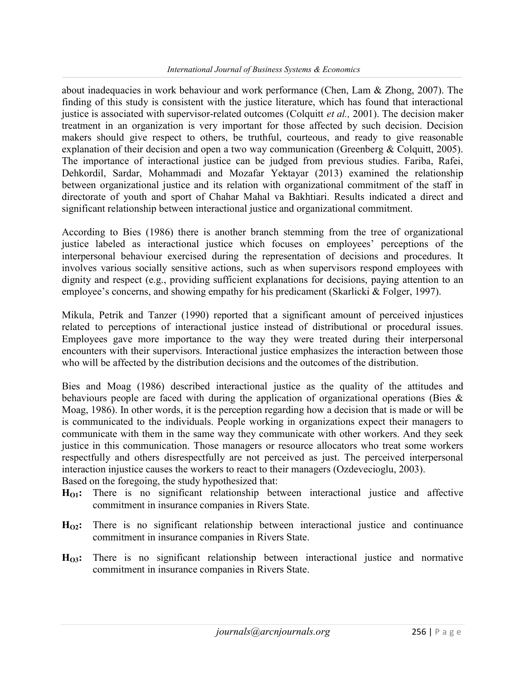about inadequacies in work behaviour and work performance (Chen, Lam & Zhong, 2007). The finding of this study is consistent with the justice literature, which has found that interactional justice is associated with supervisor-related outcomes (Colquitt *et al.*, 2001). The decision maker treatment in an organization is very important for those affected by such decision. Decision makers should give respect to others, be truthful, courteous, and ready to give reasonable explanation of their decision and open a two way communication (Greenberg & Colquitt, 2005). The importance of interactional justice can be judged from previous studies. Fariba, Rafei, Dehkordil, Sardar, Mohammadi and Mozafar Yektayar (2013) examined the relationship between organizational justice and its relation with organizational commitment of the staff in directorate of youth and sport of Chahar Mahal va Bakhtiari. Results indicated a direct and significant relationship between interactional justice and organizational commitment.

According to Bies (1986) there is another branch stemming from the tree of organizational justice labeled as interactional justice which focuses on employees' perceptions of the interpersonal behaviour exercised during the representation of decisions and procedures. It involves various socially sensitive actions, such as when supervisors respond employees with dignity and respect (e.g., providing sufficient explanations for decisions, paying attention to an employee's concerns, and showing empathy for his predicament (Skarlicki & Folger, 1997).

Mikula, Petrik and Tanzer (1990) reported that a significant amount of perceived injustices related to perceptions of interactional justice instead of distributional or procedural issues. Employees gave more importance to the way they were treated during their interpersonal encounters with their supervisors. Interactional justice emphasizes the interaction between those who will be affected by the distribution decisions and the outcomes of the distribution.

Bies and Moag (1986) described interactional justice as the quality of the attitudes and behaviours people are faced with during the application of organizational operations (Bies & Moag, 1986). In other words, it is the perception regarding how a decision that is made or will be is communicated to the individuals. People working in organizations expect their managers to communicate with them in the same way they communicate with other workers. And they seek justice in this communication. Those managers or resource allocators who treat some workers respectfully and others disrespectfully are not perceived as just. The perceived interpersonal interaction injustice causes the workers to react to their managers (Ozdevecioglu, 2003). Based on the foregoing, the study hypothesized that:

- $H<sub>01</sub>$ : There is no significant relationship between interactional justice and affective commitment in insurance companies in Rivers State.
- $H_{\Omega2}$ : There is no significant relationship between interactional justice and continuance commitment in insurance companies in Rivers State.
- H<sub>O3</sub>: There is no significant relationship between interactional justice and normative commitment in insurance companies in Rivers State.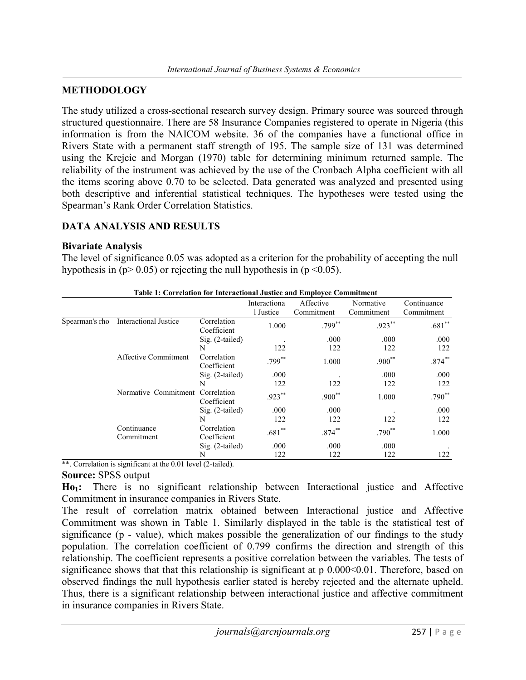## METHODOLOGY

The study utilized a cross-sectional research survey design. Primary source was sourced through structured questionnaire. There are 58 Insurance Companies registered to operate in Nigeria (this information is from the NAICOM website. 36 of the companies have a functional office in Rivers State with a permanent staff strength of 195. The sample size of 131 was determined using the Krejcie and Morgan (1970) table for determining minimum returned sample. The reliability of the instrument was achieved by the use of the Cronbach Alpha coefficient with all the items scoring above 0.70 to be selected. Data generated was analyzed and presented using both descriptive and inferential statistical techniques. The hypotheses were tested using the Spearman's Rank Order Correlation Statistics.

### DATA ANALYSIS AND RESULTS

#### Bivariate Analysis

The level of significance 0.05 was adopted as a criterion for the probability of accepting the null hypothesis in ( $p > 0.05$ ) or rejecting the null hypothesis in ( $p < 0.05$ ).

|                | Table 1: Correlation for Interactional Justice and Employee Commitment |                            |              |            |            |             |
|----------------|------------------------------------------------------------------------|----------------------------|--------------|------------|------------|-------------|
|                |                                                                        |                            | Interactiona | Affective  | Normative  | Continuance |
|                |                                                                        |                            | 1 Justice    | Commitment | Commitment | Commitment  |
| Spearman's rho | Interactional Justice                                                  | Correlation<br>Coefficient | 1.000        | $.799***$  | $.923***$  | $.681**$    |
|                |                                                                        | $Sig. (2-tailed)$          |              | .000       | .000       | .000        |
|                |                                                                        | N                          | 122          | 122        | 122        | 122         |
|                | Affective Commitment                                                   | Correlation<br>Coefficient | $.799***$    | 1.000      | $.900**$   | $.874***$   |
|                |                                                                        | $Sig. (2-tailed)$          | .000         |            | .000       | .000        |
|                |                                                                        | N                          | 122          | 122        | 122        | 122         |
|                | Normative Commitment                                                   | Correlation<br>Coefficient | $.923***$    | $.900**$   | 1.000      | $.790**$    |
|                |                                                                        | $Sig. (2-tailed)$          | .000         | .000       |            | .000        |
|                |                                                                        | N                          | 122          | 122        | 122        | 122         |
|                | Continuance<br>Commitment                                              | Correlation<br>Coefficient | $.681**$     | $.874***$  | $.790**$   | 1.000       |
|                |                                                                        | Sig. (2-tailed)            | .000         | .000       | .000       |             |
|                |                                                                        | N                          | 122          | 122        | 122        | 122         |

#### Table 1: Correlation for Interactional Justice and Employee Commitment

\*\*. Correlation is significant at the 0.01 level (2-tailed).

#### Source: SPSS output

Ho1: There is no significant relationship between Interactional justice and Affective Commitment in insurance companies in Rivers State.

The result of correlation matrix obtained between Interactional justice and Affective Commitment was shown in Table 1. Similarly displayed in the table is the statistical test of significance (p - value), which makes possible the generalization of our findings to the study population. The correlation coefficient of 0.799 confirms the direction and strength of this relationship. The coefficient represents a positive correlation between the variables. The tests of significance shows that that this relationship is significant at p  $0.000<0.01$ . Therefore, based on observed findings the null hypothesis earlier stated is hereby rejected and the alternate upheld. Thus, there is a significant relationship between interactional justice and affective commitment in insurance companies in Rivers State.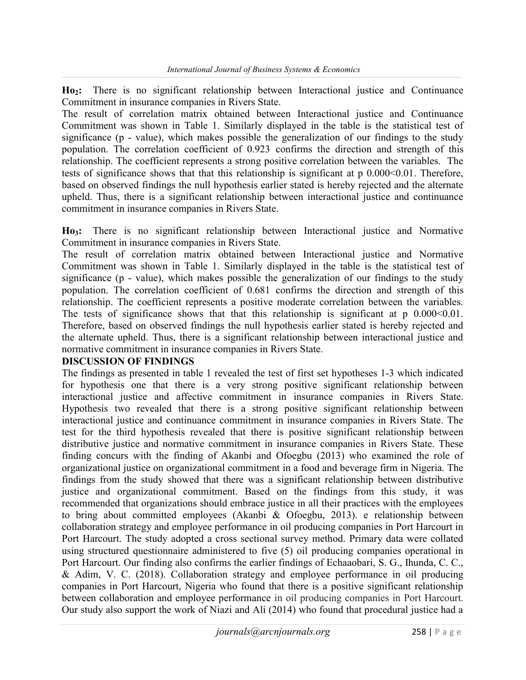Ho2: There is no significant relationship between Interactional justice and Continuance Commitment in insurance companies in Rivers State.

The result of correlation matrix obtained between Interactional justice and Continuance Commitment was shown in Table 1. Similarly displayed in the table is the statistical test of significance (p - value), which makes possible the generalization of our findings to the study population. The correlation coefficient of 0.923 confirms the direction and strength of this relationship. The coefficient represents a strong positive correlation between the variables. The tests of significance shows that that this relationship is significant at  $p\ 0.000<0.01$ . Therefore, based on observed findings the null hypothesis earlier stated is hereby rejected and the alternate upheld. Thus, there is a significant relationship between interactional justice and continuance commitment in insurance companies in Rivers State.

Ho<sub>3</sub>: There is no significant relationship between Interactional justice and Normative Commitment in insurance companies in Rivers State.

The result of correlation matrix obtained between Interactional justice and Normative Commitment was shown in Table 1. Similarly displayed in the table is the statistical test of significance (p - value), which makes possible the generalization of our findings to the study population. The correlation coefficient of 0.681 confirms the direction and strength of this relationship. The coefficient represents a positive moderate correlation between the variables. The tests of significance shows that that this relationship is significant at  $p\ 0.000<0.01$ . Therefore, based on observed findings the null hypothesis earlier stated is hereby rejected and the alternate upheld. Thus, there is a significant relationship between interactional justice and normative commitment in insurance companies in Rivers State.

#### DISCUSSION OF FINDINGS

The findings as presented in table 1 revealed the test of first set hypotheses 1-3 which indicated for hypothesis one that there is a very strong positive significant relationship between interactional justice and affective commitment in insurance companies in Rivers State. Hypothesis two revealed that there is a strong positive significant relationship between interactional justice and continuance commitment in insurance companies in Rivers State. The test for the third hypothesis revealed that there is positive significant relationship between distributive justice and normative commitment in insurance companies in Rivers State. These finding concurs with the finding of Akanbi and Ofoegbu (2013) who examined the role of organizational justice on organizational commitment in a food and beverage firm in Nigeria. The findings from the study showed that there was a significant relationship between distributive justice and organizational commitment. Based on the findings from this study, it was recommended that organizations should embrace justice in all their practices with the employees to bring about committed employees (Akanbi & Ofoegbu, 2013). e relationship between collaboration strategy and employee performance in oil producing companies in Port Harcourt in Port Harcourt. The study adopted a cross sectional survey method. Primary data were collated using structured questionnaire administered to five (5) oil producing companies operational in Port Harcourt. Our finding also confirms the earlier findings of Echaaobari, S. G., Ihunda, C. C., & Adim, V. C. (2018). Collaboration strategy and employee performance in oil producing companies in Port Harcourt, Nigeria who found that there is a positive significant relationship between collaboration and employee performance in oil producing companies in Port Harcourt. Our study also support the work of Niazi and Ali (2014) who found that procedural justice had a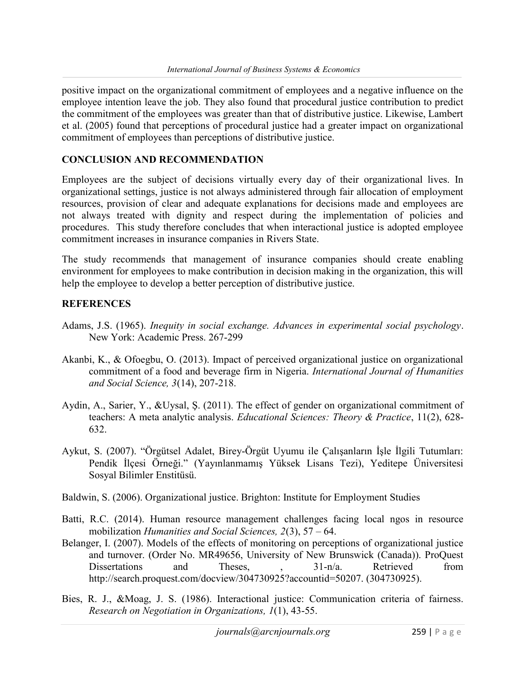positive impact on the organizational commitment of employees and a negative influence on the employee intention leave the job. They also found that procedural justice contribution to predict the commitment of the employees was greater than that of distributive justice. Likewise, Lambert et al. (2005) found that perceptions of procedural justice had a greater impact on organizational commitment of employees than perceptions of distributive justice.

#### CONCLUSION AND RECOMMENDATION

Employees are the subject of decisions virtually every day of their organizational lives. In organizational settings, justice is not always administered through fair allocation of employment resources, provision of clear and adequate explanations for decisions made and employees are not always treated with dignity and respect during the implementation of policies and procedures. This study therefore concludes that when interactional justice is adopted employee commitment increases in insurance companies in Rivers State.

The study recommends that management of insurance companies should create enabling environment for employees to make contribution in decision making in the organization, this will help the employee to develop a better perception of distributive justice.

### **REFERENCES**

- Adams, J.S. (1965). Inequity in social exchange. Advances in experimental social psychology. New York: Academic Press. 267-299
- Akanbi, K., & Ofoegbu, O. (2013). Impact of perceived organizational justice on organizational commitment of a food and beverage firm in Nigeria. International Journal of Humanities and Social Science, 3(14), 207-218.
- Aydin, A., Sarier, Y., &Uysal, Ş. (2011). The effect of gender on organizational commitment of teachers: A meta analytic analysis. Educational Sciences: Theory & Practice, 11(2), 628- 632.
- Aykut, S. (2007). "Örgütsel Adalet, Birey-Örgüt Uyumu ile Çalışanların İşle İlgili Tutumları: Pendik İlçesi Örneği." (Yayınlanmamış Yüksek Lisans Tezi), Yeditepe Üniversitesi Sosyal Bilimler Enstitüsü.
- Baldwin, S. (2006). Organizational justice. Brighton: Institute for Employment Studies
- Batti, R.C. (2014). Human resource management challenges facing local ngos in resource mobilization Humanities and Social Sciences,  $2(3)$ ,  $57 - 64$ .
- Belanger, I. (2007). Models of the effects of monitoring on perceptions of organizational justice and turnover. (Order No. MR49656, University of New Brunswick (Canada)). ProQuest Dissertations and Theses, , 31-n/a. Retrieved from http://search.proquest.com/docview/304730925?accountid=50207. (304730925).
- Bies, R. J., &Moag, J. S. (1986). Interactional justice: Communication criteria of fairness. Research on Negotiation in Organizations, 1(1), 43-55.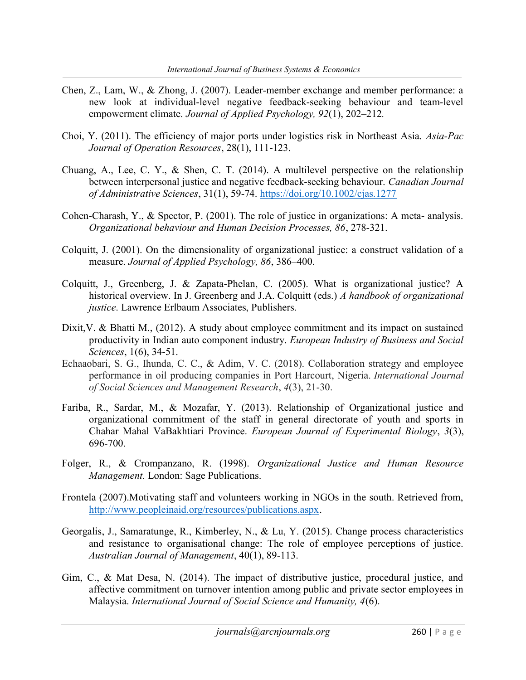- Chen, Z., Lam, W., & Zhong, J. (2007). Leader-member exchange and member performance: a new look at individual-level negative feedback-seeking behaviour and team-level empowerment climate. Journal of Applied Psychology, 92(1), 202–212.
- Choi, Y. (2011). The efficiency of major ports under logistics risk in Northeast Asia. Asia-Pac Journal of Operation Resources, 28(1), 111-123.
- Chuang, A., Lee, C. Y., & Shen, C. T. (2014). A multilevel perspective on the relationship between interpersonal justice and negative feedback-seeking behaviour. Canadian Journal of Administrative Sciences, 31(1), 59-74. https://doi.org/10.1002/cjas.1277
- Cohen-Charash, Y., & Spector, P. (2001). The role of justice in organizations: A meta- analysis. Organizational behaviour and Human Decision Processes, 86, 278-321.
- Colquitt, J. (2001). On the dimensionality of organizational justice: a construct validation of a measure. Journal of Applied Psychology, 86, 386–400.
- Colquitt, J., Greenberg, J. & Zapata-Phelan, C. (2005). What is organizational justice? A historical overview. In J. Greenberg and J.A. Colquitt (eds.) A handbook of organizational justice. Lawrence Erlbaum Associates, Publishers.
- Dixit, V. & Bhatti M., (2012). A study about employee commitment and its impact on sustained productivity in Indian auto component industry. European Industry of Business and Social Sciences, 1(6), 34-51.
- Echaaobari, S. G., Ihunda, C. C., & Adim, V. C. (2018). Collaboration strategy and employee performance in oil producing companies in Port Harcourt, Nigeria. International Journal of Social Sciences and Management Research, 4(3), 21-30.
- Fariba, R., Sardar, M., & Mozafar, Y. (2013). Relationship of Organizational justice and organizational commitment of the staff in general directorate of youth and sports in Chahar Mahal VaBakhtiari Province. European Journal of Experimental Biology, 3(3), 696-700.
- Folger, R., & Crompanzano, R. (1998). Organizational Justice and Human Resource Management. London: Sage Publications.
- Frontela (2007).Motivating staff and volunteers working in NGOs in the south. Retrieved from, http://www.peopleinaid.org/resources/publications.aspx.
- Georgalis, J., Samaratunge, R., Kimberley, N., & Lu, Y. (2015). Change process characteristics and resistance to organisational change: The role of employee perceptions of justice. Australian Journal of Management, 40(1), 89-113.
- Gim, C., & Mat Desa, N. (2014). The impact of distributive justice, procedural justice, and affective commitment on turnover intention among public and private sector employees in Malaysia. International Journal of Social Science and Humanity, 4(6).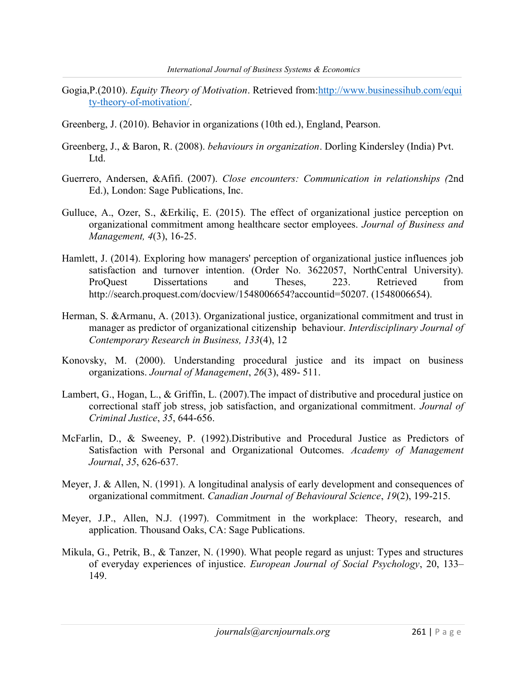- Gogia,P.(2010). Equity Theory of Motivation. Retrieved from:http://www.businessihub.com/equi ty-theory-of-motivation/.
- Greenberg, J. (2010). Behavior in organizations (10th ed.), England, Pearson.
- Greenberg, J., & Baron, R. (2008). behaviours in organization. Dorling Kindersley (India) Pvt. Ltd.
- Guerrero, Andersen, &Afifi. (2007). Close encounters: Communication in relationships (2nd Ed.), London: Sage Publications, Inc.
- Gulluce, A., Ozer, S., &Erkiliç, E. (2015). The effect of organizational justice perception on organizational commitment among healthcare sector employees. Journal of Business and Management, 4(3), 16-25.
- Hamlett, J. (2014). Exploring how managers' perception of organizational justice influences job satisfaction and turnover intention. (Order No. 3622057, NorthCentral University). ProQuest Dissertations and Theses, 223. Retrieved from http://search.proquest.com/docview/1548006654?accountid=50207. (1548006654).
- Herman, S. &Armanu, A. (2013). Organizational justice, organizational commitment and trust in manager as predictor of organizational citizenship behaviour. Interdisciplinary Journal of Contemporary Research in Business, 133(4), 12
- Konovsky, M. (2000). Understanding procedural justice and its impact on business organizations. Journal of Management, 26(3), 489- 511.
- Lambert, G., Hogan, L., & Griffin, L. (2007).The impact of distributive and procedural justice on correctional staff job stress, job satisfaction, and organizational commitment. Journal of Criminal Justice, 35, 644-656.
- McFarlin, D., & Sweeney, P. (1992).Distributive and Procedural Justice as Predictors of Satisfaction with Personal and Organizational Outcomes. Academy of Management Journal, 35, 626-637.
- Meyer, J. & Allen, N. (1991). A longitudinal analysis of early development and consequences of organizational commitment. Canadian Journal of Behavioural Science, 19(2), 199-215.
- Meyer, J.P., Allen, N.J. (1997). Commitment in the workplace: Theory, research, and application. Thousand Oaks, CA: Sage Publications.
- Mikula, G., Petrik, B., & Tanzer, N. (1990). What people regard as unjust: Types and structures of everyday experiences of injustice. European Journal of Social Psychology, 20, 133– 149.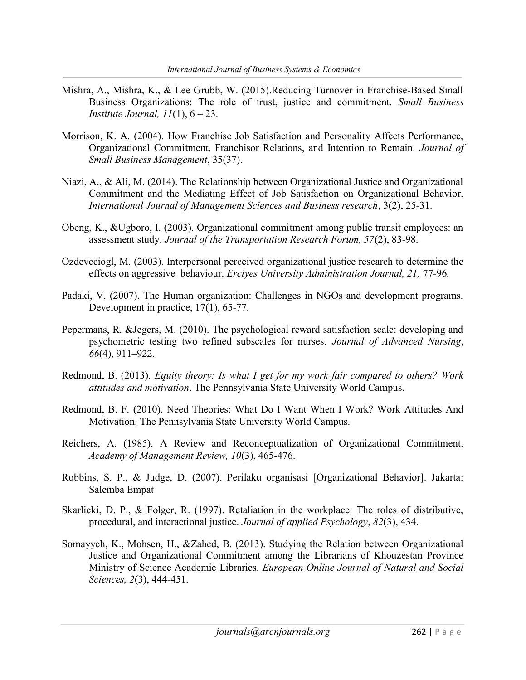- Mishra, A., Mishra, K., & Lee Grubb, W. (2015).Reducing Turnover in Franchise-Based Small Business Organizations: The role of trust, justice and commitment. Small Business Institute Journal,  $11(1)$ ,  $6 - 23$ .
- Morrison, K. A. (2004). How Franchise Job Satisfaction and Personality Affects Performance, Organizational Commitment, Franchisor Relations, and Intention to Remain. Journal of Small Business Management, 35(37).
- Niazi, A., & Ali, M. (2014). The Relationship between Organizational Justice and Organizational Commitment and the Mediating Effect of Job Satisfaction on Organizational Behavior. International Journal of Management Sciences and Business research, 3(2), 25-31.
- Obeng, K., &Ugboro, I. (2003). Organizational commitment among public transit employees: an assessment study. Journal of the Transportation Research Forum, 57(2), 83-98.
- Ozdeveciogl, M. (2003). Interpersonal perceived organizational justice research to determine the effects on aggressive behaviour. Erciyes University Administration Journal, 21, 77-96.
- Padaki, V. (2007). The Human organization: Challenges in NGOs and development programs. Development in practice, 17(1), 65-77.
- Pepermans, R. &Jegers, M. (2010). The psychological reward satisfaction scale: developing and psychometric testing two refined subscales for nurses. Journal of Advanced Nursing, 66(4), 911–922.
- Redmond, B. (2013). Equity theory: Is what I get for my work fair compared to others? Work attitudes and motivation. The Pennsylvania State University World Campus.
- Redmond, B. F. (2010). Need Theories: What Do I Want When I Work? Work Attitudes And Motivation. The Pennsylvania State University World Campus.
- Reichers, A. (1985). A Review and Reconceptualization of Organizational Commitment. Academy of Management Review, 10(3), 465-476.
- Robbins, S. P., & Judge, D. (2007). Perilaku organisasi [Organizational Behavior]. Jakarta: Salemba Empat
- Skarlicki, D. P., & Folger, R. (1997). Retaliation in the workplace: The roles of distributive, procedural, and interactional justice. Journal of applied Psychology, 82(3), 434.
- Somayyeh, K., Mohsen, H., &Zahed, B. (2013). Studying the Relation between Organizational Justice and Organizational Commitment among the Librarians of Khouzestan Province Ministry of Science Academic Libraries. *European Online Journal of Natural and Social* Sciences, 2(3), 444-451.